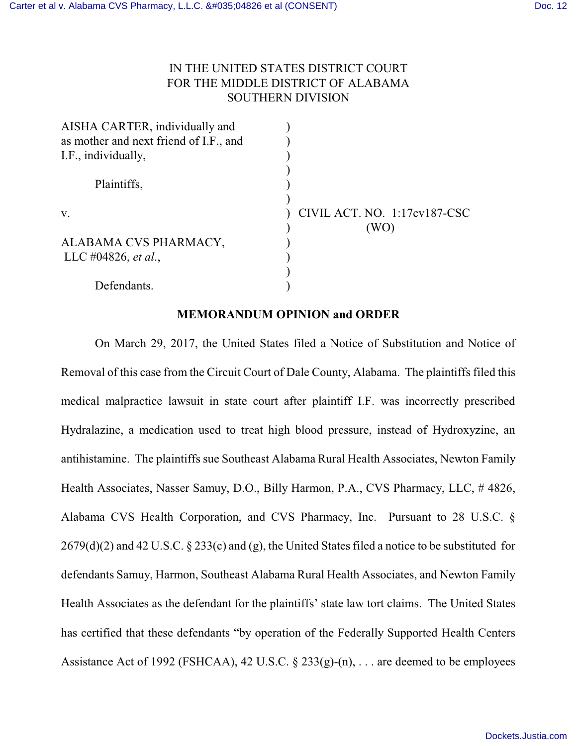# IN THE UNITED STATES DISTRICT COURT FOR THE MIDDLE DISTRICT OF ALABAMA SOUTHERN DIVISION

| CIVIL ACT. NO. 1:17cv187-CSC |
|------------------------------|
|                              |
|                              |
|                              |
|                              |
|                              |
|                              |

## **MEMORANDUM OPINION and ORDER**

On March 29, 2017, the United States filed a Notice of Substitution and Notice of Removal of this case from the Circuit Court of Dale County, Alabama. The plaintiffs filed this medical malpractice lawsuit in state court after plaintiff I.F. was incorrectly prescribed Hydralazine, a medication used to treat high blood pressure, instead of Hydroxyzine, an antihistamine. The plaintiffs sue Southeast Alabama Rural Health Associates, Newton Family Health Associates, Nasser Samuy, D.O., Billy Harmon, P.A., CVS Pharmacy, LLC, # 4826, Alabama CVS Health Corporation, and CVS Pharmacy, Inc. Pursuant to 28 U.S.C. § 2679(d)(2) and 42 U.S.C. § 233(c) and (g), the United States filed a notice to be substituted for defendants Samuy, Harmon, Southeast Alabama Rural Health Associates, and Newton Family Health Associates as the defendant for the plaintiffs' state law tort claims. The United States has certified that these defendants "by operation of the Federally Supported Health Centers Assistance Act of 1992 (FSHCAA), 42 U.S.C. § 233(g)-(n), . . . are deemed to be employees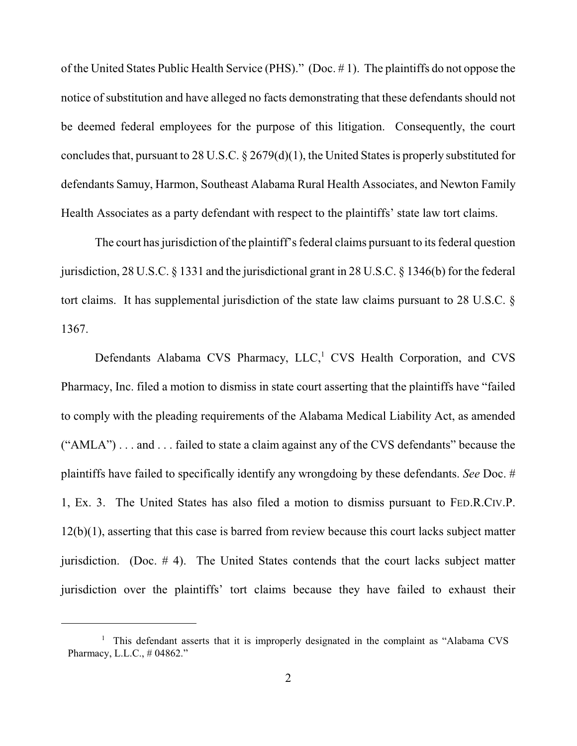of the United States Public Health Service (PHS)." (Doc. # 1). The plaintiffs do not oppose the notice of substitution and have alleged no facts demonstrating that these defendants should not be deemed federal employees for the purpose of this litigation. Consequently, the court concludes that, pursuant to 28 U.S.C. § 2679(d)(1), the United States is properly substituted for defendants Samuy, Harmon, Southeast Alabama Rural Health Associates, and Newton Family Health Associates as a party defendant with respect to the plaintiffs' state law tort claims.

The court has jurisdiction of the plaintiff's federal claims pursuant to its federal question jurisdiction, 28 U.S.C. § 1331 and the jurisdictional grant in 28 U.S.C. § 1346(b) for the federal tort claims. It has supplemental jurisdiction of the state law claims pursuant to 28 U.S.C. § 1367.

Defendants Alabama CVS Pharmacy, LLC,<sup>1</sup> CVS Health Corporation, and CVS Pharmacy, Inc. filed a motion to dismiss in state court asserting that the plaintiffs have "failed to comply with the pleading requirements of the Alabama Medical Liability Act, as amended ("AMLA") . . . and . . . failed to state a claim against any of the CVS defendants" because the plaintiffs have failed to specifically identify any wrongdoing by these defendants. *See* Doc. # 1, Ex. 3. The United States has also filed a motion to dismiss pursuant to FED.R.CIV.P. 12(b)(1), asserting that this case is barred from review because this court lacks subject matter jurisdiction. (Doc. # 4). The United States contends that the court lacks subject matter jurisdiction over the plaintiffs' tort claims because they have failed to exhaust their

<sup>&</sup>lt;sup>1</sup> This defendant asserts that it is improperly designated in the complaint as "Alabama CVS Pharmacy, L.L.C., # 04862."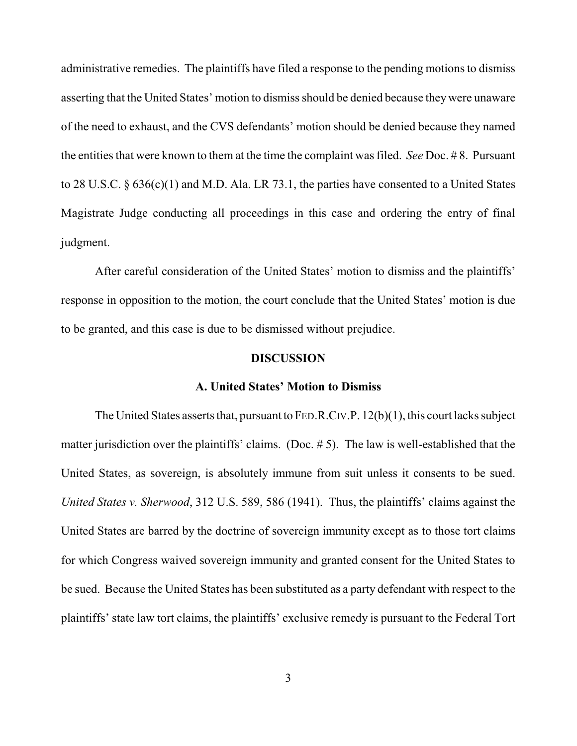administrative remedies. The plaintiffs have filed a response to the pending motions to dismiss asserting that the United States' motion to dismiss should be denied because theywere unaware of the need to exhaust, and the CVS defendants' motion should be denied because they named the entities that were known to them at the time the complaint was filed. *See* Doc. # 8. Pursuant to 28 U.S.C. § 636(c)(1) and M.D. Ala. LR 73.1, the parties have consented to a United States Magistrate Judge conducting all proceedings in this case and ordering the entry of final judgment.

After careful consideration of the United States' motion to dismiss and the plaintiffs' response in opposition to the motion, the court conclude that the United States' motion is due to be granted, and this case is due to be dismissed without prejudice.

#### **DISCUSSION**

#### **A. United States' Motion to Dismiss**

The United States asserts that, pursuant to FED.R.CIV.P. 12(b)(1), this court lacks subject matter jurisdiction over the plaintiffs' claims. (Doc. # 5). The law is well-established that the United States, as sovereign, is absolutely immune from suit unless it consents to be sued. *United States v. Sherwood*, 312 U.S. 589, 586 (1941). Thus, the plaintiffs' claims against the United States are barred by the doctrine of sovereign immunity except as to those tort claims for which Congress waived sovereign immunity and granted consent for the United States to be sued. Because the United States has been substituted as a party defendant with respect to the plaintiffs' state law tort claims, the plaintiffs' exclusive remedy is pursuant to the Federal Tort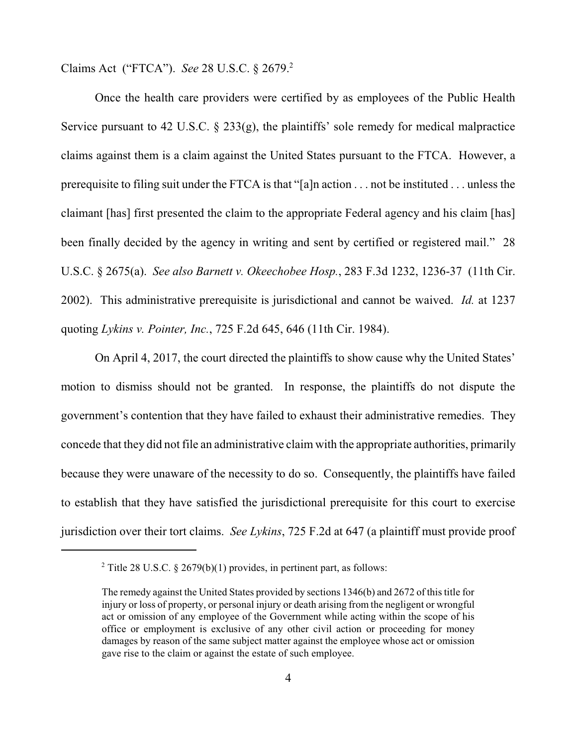Claims Act ("FTCA"). *See* 28 U.S.C. § 2679. 2

Once the health care providers were certified by as employees of the Public Health Service pursuant to 42 U.S.C.  $\S$  233(g), the plaintiffs' sole remedy for medical malpractice claims against them is a claim against the United States pursuant to the FTCA. However, a prerequisite to filing suit under the FTCA is that "[a]n action . . . not be instituted . . . unless the claimant [has] first presented the claim to the appropriate Federal agency and his claim [has] been finally decided by the agency in writing and sent by certified or registered mail." 28 U.S.C. § 2675(a). *See also Barnett v. Okeechobee Hosp.*, 283 F.3d 1232, 1236-37 (11th Cir. 2002). This administrative prerequisite is jurisdictional and cannot be waived. *Id.* at 1237 quoting *Lykins v. Pointer, Inc.*, 725 F.2d 645, 646 (11th Cir. 1984).

On April 4, 2017, the court directed the plaintiffs to show cause why the United States' motion to dismiss should not be granted. In response, the plaintiffs do not dispute the government's contention that they have failed to exhaust their administrative remedies. They concede that they did not file an administrative claim with the appropriate authorities, primarily because they were unaware of the necessity to do so. Consequently, the plaintiffs have failed to establish that they have satisfied the jurisdictional prerequisite for this court to exercise jurisdiction over their tort claims. *See Lykins*, 725 F.2d at 647 (a plaintiff must provide proof

<sup>&</sup>lt;sup>2</sup> Title 28 U.S.C. § 2679(b)(1) provides, in pertinent part, as follows:

The remedy against the United States provided by sections 1346(b) and 2672 of this title for injury or loss of property, or personal injury or death arising from the negligent or wrongful act or omission of any employee of the Government while acting within the scope of his office or employment is exclusive of any other civil action or proceeding for money damages by reason of the same subject matter against the employee whose act or omission gave rise to the claim or against the estate of such employee.